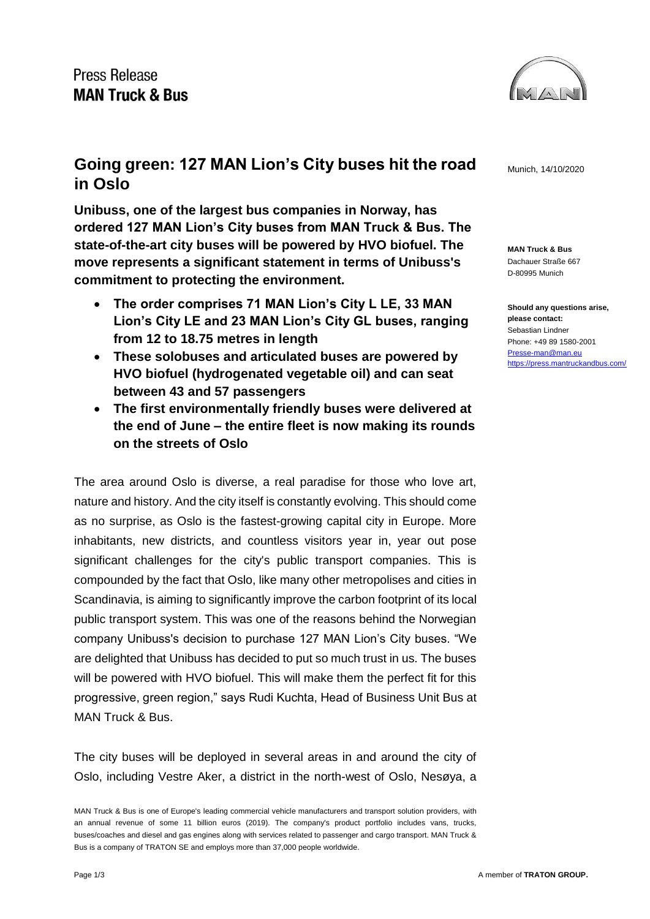

**MAN Truck & Bus** Dachauer Straße 667 D-80995 Munich

**Should any questions arise, please contact:** Sebastian Lindner Phone: +49 89 1580-2001 [Presse-man@man.eu](mailto:Presse-man@man.eu) <https://press.mantruckandbus.com/>

## Going green: 127 MAN Lion's City buses hit the road Munich, 14/10/2020 **in Oslo**

**Unibuss, one of the largest bus companies in Norway, has ordered 127 MAN Lion's City buses from MAN Truck & Bus. The state-of-the-art city buses will be powered by HVO biofuel. The move represents a significant statement in terms of Unibuss's commitment to protecting the environment.**

- **The order comprises 71 MAN Lion's City L LE, 33 MAN Lion's City LE and 23 MAN Lion's City GL buses, ranging from 12 to 18.75 metres in length**
- **These solobuses and articulated buses are powered by HVO biofuel (hydrogenated vegetable oil) and can seat between 43 and 57 passengers**
- **The first environmentally friendly buses were delivered at the end of June – the entire fleet is now making its rounds on the streets of Oslo**

The area around Oslo is diverse, a real paradise for those who love art, nature and history. And the city itself is constantly evolving. This should come as no surprise, as Oslo is the fastest-growing capital city in Europe. More inhabitants, new districts, and countless visitors year in, year out pose significant challenges for the city's public transport companies. This is compounded by the fact that Oslo, like many other metropolises and cities in Scandinavia, is aiming to significantly improve the carbon footprint of its local public transport system. This was one of the reasons behind the Norwegian company Unibuss's decision to purchase 127 MAN Lion's City buses. "We are delighted that Unibuss has decided to put so much trust in us. The buses will be powered with HVO biofuel. This will make them the perfect fit for this progressive, green region," says Rudi Kuchta, Head of Business Unit Bus at MAN Truck & Bus.

The city buses will be deployed in several areas in and around the city of Oslo, including Vestre Aker, a district in the north-west of Oslo, Nesøya, a

MAN Truck & Bus is one of Europe's leading commercial vehicle manufacturers and transport solution providers, with an annual revenue of some 11 billion euros (2019). The company's product portfolio includes vans, trucks, buses/coaches and diesel and gas engines along with services related to passenger and cargo transport. MAN Truck & Bus is a company of TRATON SE and employs more than 37,000 people worldwide.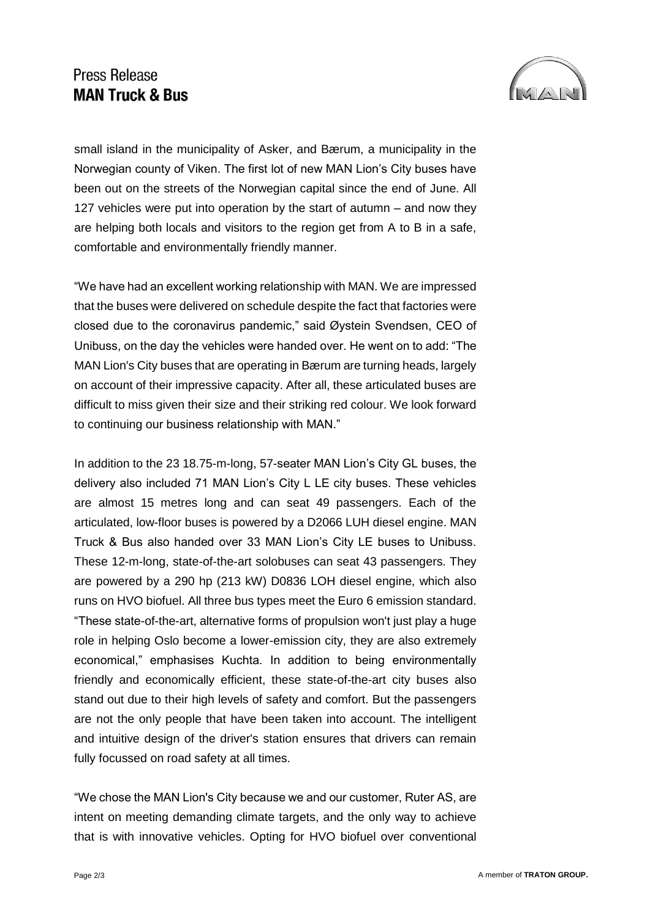## Press Release **MAN Truck & Bus**



small island in the municipality of Asker, and Bærum, a municipality in the Norwegian county of Viken. The first lot of new MAN Lion's City buses have been out on the streets of the Norwegian capital since the end of June. All 127 vehicles were put into operation by the start of autumn – and now they are helping both locals and visitors to the region get from A to B in a safe, comfortable and environmentally friendly manner.

"We have had an excellent working relationship with MAN. We are impressed that the buses were delivered on schedule despite the fact that factories were closed due to the coronavirus pandemic," said Øystein Svendsen, CEO of Unibuss, on the day the vehicles were handed over. He went on to add: "The MAN Lion's City buses that are operating in Bærum are turning heads, largely on account of their impressive capacity. After all, these articulated buses are difficult to miss given their size and their striking red colour. We look forward to continuing our business relationship with MAN."

In addition to the 23 18.75-m-long, 57-seater MAN Lion's City GL buses, the delivery also included 71 MAN Lion's City L LE city buses. These vehicles are almost 15 metres long and can seat 49 passengers. Each of the articulated, low-floor buses is powered by a D2066 LUH diesel engine. MAN Truck & Bus also handed over 33 MAN Lion's City LE buses to Unibuss. These 12-m-long, state-of-the-art solobuses can seat 43 passengers. They are powered by a 290 hp (213 kW) D0836 LOH diesel engine, which also runs on HVO biofuel. All three bus types meet the Euro 6 emission standard. "These state-of-the-art, alternative forms of propulsion won't just play a huge role in helping Oslo become a lower-emission city, they are also extremely economical," emphasises Kuchta. In addition to being environmentally friendly and economically efficient, these state-of-the-art city buses also stand out due to their high levels of safety and comfort. But the passengers are not the only people that have been taken into account. The intelligent and intuitive design of the driver's station ensures that drivers can remain fully focussed on road safety at all times.

"We chose the MAN Lion's City because we and our customer, Ruter AS, are intent on meeting demanding climate targets, and the only way to achieve that is with innovative vehicles. Opting for HVO biofuel over conventional